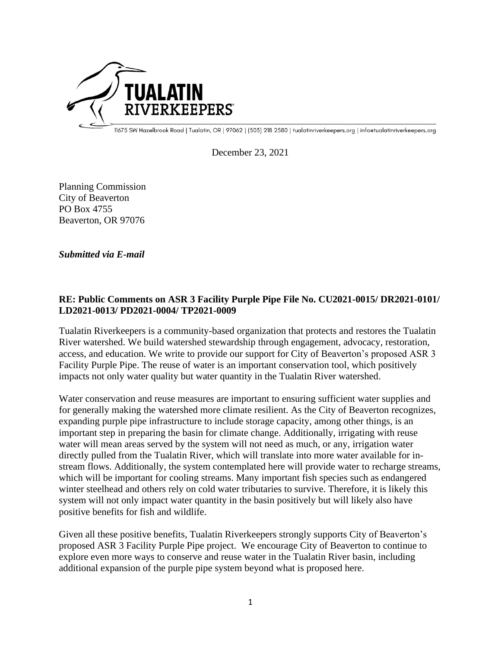

11675 SW Hazelbrook Road | Tualatin, OR | 97062 | (503) 218 2580 | tualatinriverkeepers.org | infoetualatinriverkeepers.org

December 23, 2021

Planning Commission City of Beaverton PO Box 4755 Beaverton, OR 97076

*Submitted via E-mail*

## **RE: Public Comments on ASR 3 Facility Purple Pipe File No. CU2021-0015/ DR2021-0101/ LD2021-0013/ PD2021-0004/ TP2021-0009**

Tualatin Riverkeepers is a community-based organization that protects and restores the Tualatin River watershed. We build watershed stewardship through engagement, advocacy, restoration, access, and education. We write to provide our support for City of Beaverton's proposed ASR 3 Facility Purple Pipe. The reuse of water is an important conservation tool, which positively impacts not only water quality but water quantity in the Tualatin River watershed.

Water conservation and reuse measures are important to ensuring sufficient water supplies and for generally making the watershed more climate resilient. As the City of Beaverton recognizes, expanding purple pipe infrastructure to include storage capacity, among other things, is an important step in preparing the basin for climate change. Additionally, irrigating with reuse water will mean areas served by the system will not need as much, or any, irrigation water directly pulled from the Tualatin River, which will translate into more water available for instream flows. Additionally, the system contemplated here will provide water to recharge streams, which will be important for cooling streams. Many important fish species such as endangered winter steelhead and others rely on cold water tributaries to survive. Therefore, it is likely this system will not only impact water quantity in the basin positively but will likely also have positive benefits for fish and wildlife.

Given all these positive benefits, Tualatin Riverkeepers strongly supports City of Beaverton's proposed ASR 3 Facility Purple Pipe project. We encourage City of Beaverton to continue to explore even more ways to conserve and reuse water in the Tualatin River basin, including additional expansion of the purple pipe system beyond what is proposed here.